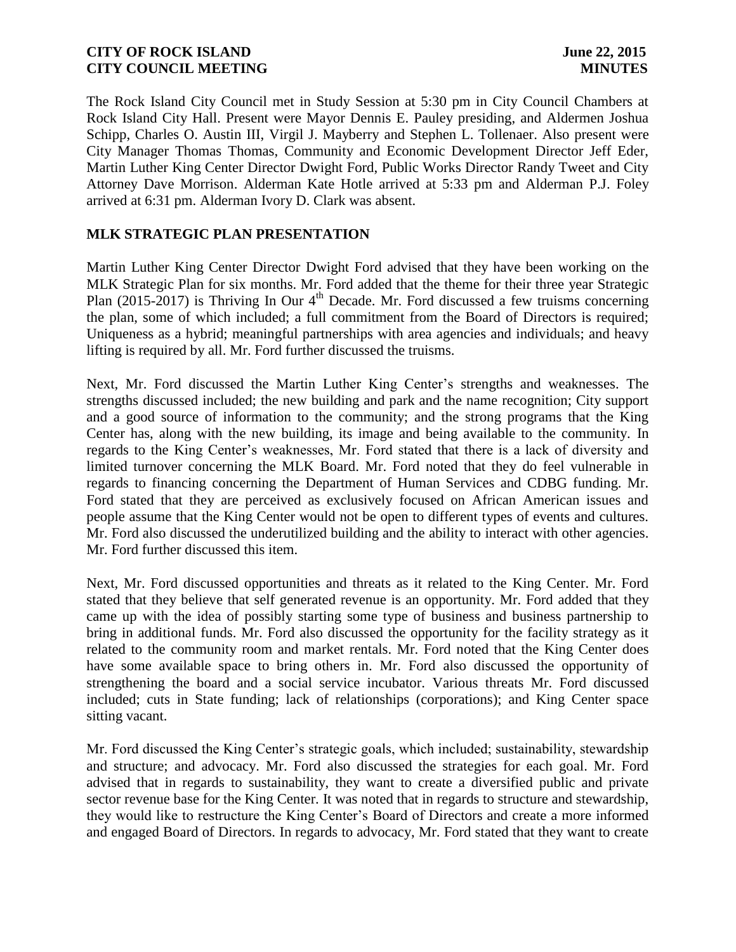The Rock Island City Council met in Study Session at 5:30 pm in City Council Chambers at Rock Island City Hall. Present were Mayor Dennis E. Pauley presiding, and Aldermen Joshua Schipp, Charles O. Austin III, Virgil J. Mayberry and Stephen L. Tollenaer. Also present were City Manager Thomas Thomas, Community and Economic Development Director Jeff Eder, Martin Luther King Center Director Dwight Ford, Public Works Director Randy Tweet and City Attorney Dave Morrison. Alderman Kate Hotle arrived at 5:33 pm and Alderman P.J. Foley arrived at 6:31 pm. Alderman Ivory D. Clark was absent.

## **MLK STRATEGIC PLAN PRESENTATION**

Martin Luther King Center Director Dwight Ford advised that they have been working on the MLK Strategic Plan for six months. Mr. Ford added that the theme for their three year Strategic Plan (2015-2017) is Thriving In Our 4<sup>th</sup> Decade. Mr. Ford discussed a few truisms concerning the plan, some of which included; a full commitment from the Board of Directors is required; Uniqueness as a hybrid; meaningful partnerships with area agencies and individuals; and heavy lifting is required by all. Mr. Ford further discussed the truisms.

Next, Mr. Ford discussed the Martin Luther King Center's strengths and weaknesses. The strengths discussed included; the new building and park and the name recognition; City support and a good source of information to the community; and the strong programs that the King Center has, along with the new building, its image and being available to the community. In regards to the King Center's weaknesses, Mr. Ford stated that there is a lack of diversity and limited turnover concerning the MLK Board. Mr. Ford noted that they do feel vulnerable in regards to financing concerning the Department of Human Services and CDBG funding. Mr. Ford stated that they are perceived as exclusively focused on African American issues and people assume that the King Center would not be open to different types of events and cultures. Mr. Ford also discussed the underutilized building and the ability to interact with other agencies. Mr. Ford further discussed this item.

Next, Mr. Ford discussed opportunities and threats as it related to the King Center. Mr. Ford stated that they believe that self generated revenue is an opportunity. Mr. Ford added that they came up with the idea of possibly starting some type of business and business partnership to bring in additional funds. Mr. Ford also discussed the opportunity for the facility strategy as it related to the community room and market rentals. Mr. Ford noted that the King Center does have some available space to bring others in. Mr. Ford also discussed the opportunity of strengthening the board and a social service incubator. Various threats Mr. Ford discussed included; cuts in State funding; lack of relationships (corporations); and King Center space sitting vacant.

Mr. Ford discussed the King Center's strategic goals, which included; sustainability, stewardship and structure; and advocacy. Mr. Ford also discussed the strategies for each goal. Mr. Ford advised that in regards to sustainability, they want to create a diversified public and private sector revenue base for the King Center. It was noted that in regards to structure and stewardship, they would like to restructure the King Center's Board of Directors and create a more informed and engaged Board of Directors. In regards to advocacy, Mr. Ford stated that they want to create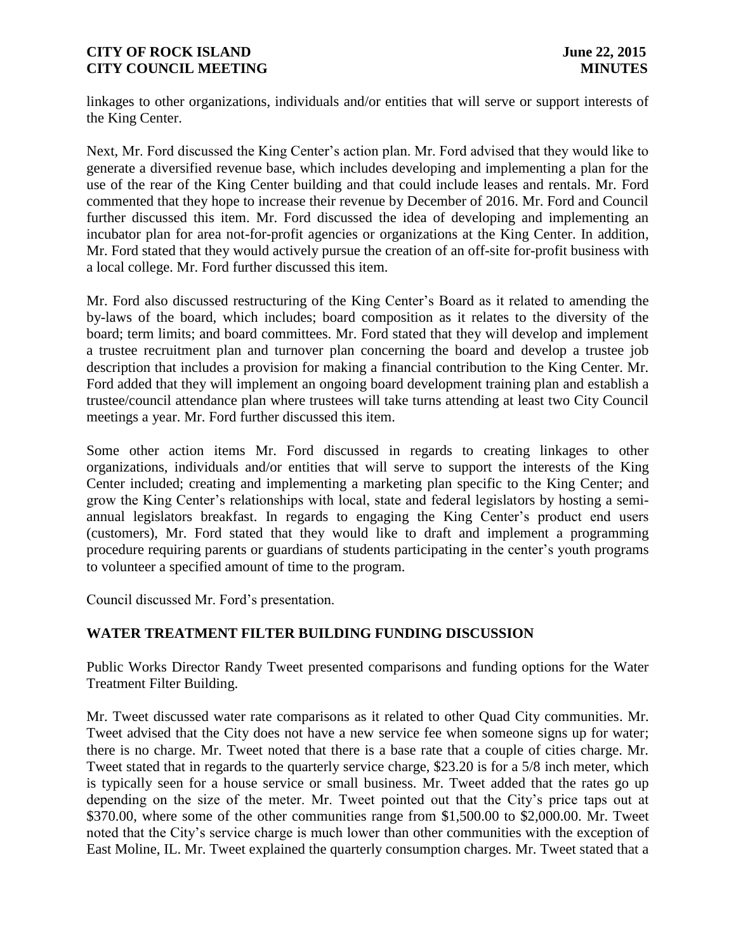linkages to other organizations, individuals and/or entities that will serve or support interests of the King Center.

Next, Mr. Ford discussed the King Center's action plan. Mr. Ford advised that they would like to generate a diversified revenue base, which includes developing and implementing a plan for the use of the rear of the King Center building and that could include leases and rentals. Mr. Ford commented that they hope to increase their revenue by December of 2016. Mr. Ford and Council further discussed this item. Mr. Ford discussed the idea of developing and implementing an incubator plan for area not-for-profit agencies or organizations at the King Center. In addition, Mr. Ford stated that they would actively pursue the creation of an off-site for-profit business with a local college. Mr. Ford further discussed this item.

Mr. Ford also discussed restructuring of the King Center's Board as it related to amending the by-laws of the board, which includes; board composition as it relates to the diversity of the board; term limits; and board committees. Mr. Ford stated that they will develop and implement a trustee recruitment plan and turnover plan concerning the board and develop a trustee job description that includes a provision for making a financial contribution to the King Center. Mr. Ford added that they will implement an ongoing board development training plan and establish a trustee/council attendance plan where trustees will take turns attending at least two City Council meetings a year. Mr. Ford further discussed this item.

Some other action items Mr. Ford discussed in regards to creating linkages to other organizations, individuals and/or entities that will serve to support the interests of the King Center included; creating and implementing a marketing plan specific to the King Center; and grow the King Center's relationships with local, state and federal legislators by hosting a semiannual legislators breakfast. In regards to engaging the King Center's product end users (customers), Mr. Ford stated that they would like to draft and implement a programming procedure requiring parents or guardians of students participating in the center's youth programs to volunteer a specified amount of time to the program.

Council discussed Mr. Ford's presentation.

# **WATER TREATMENT FILTER BUILDING FUNDING DISCUSSION**

Public Works Director Randy Tweet presented comparisons and funding options for the Water Treatment Filter Building.

Mr. Tweet discussed water rate comparisons as it related to other Quad City communities. Mr. Tweet advised that the City does not have a new service fee when someone signs up for water; there is no charge. Mr. Tweet noted that there is a base rate that a couple of cities charge. Mr. Tweet stated that in regards to the quarterly service charge, \$23.20 is for a 5/8 inch meter, which is typically seen for a house service or small business. Mr. Tweet added that the rates go up depending on the size of the meter. Mr. Tweet pointed out that the City's price taps out at \$370.00, where some of the other communities range from \$1,500.00 to \$2,000.00. Mr. Tweet noted that the City's service charge is much lower than other communities with the exception of East Moline, IL. Mr. Tweet explained the quarterly consumption charges. Mr. Tweet stated that a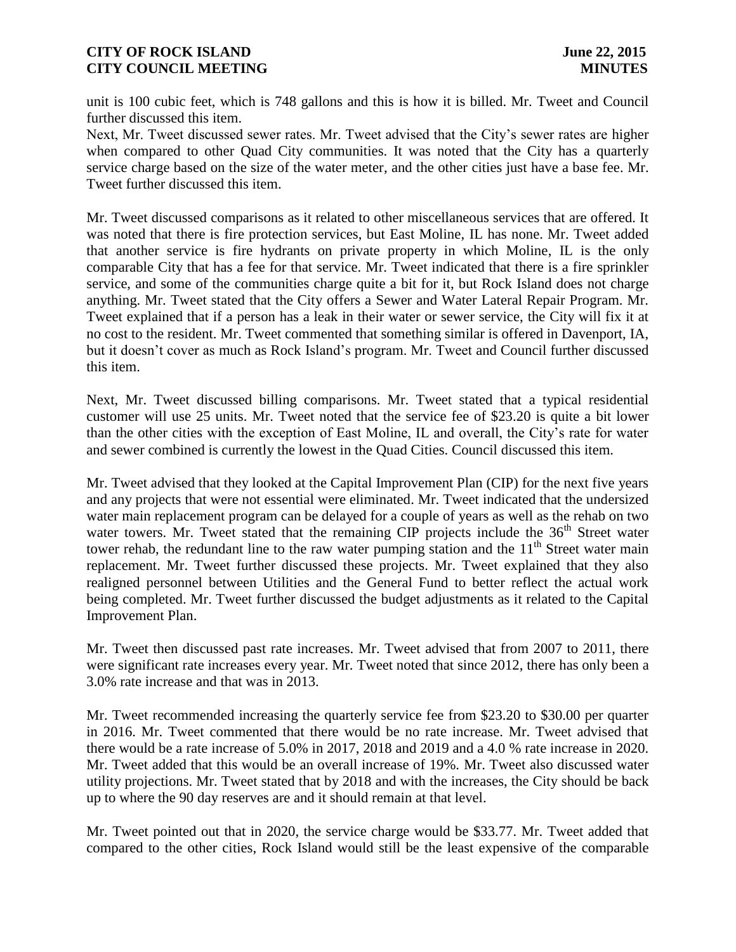unit is 100 cubic feet, which is 748 gallons and this is how it is billed. Mr. Tweet and Council further discussed this item.

Next, Mr. Tweet discussed sewer rates. Mr. Tweet advised that the City's sewer rates are higher when compared to other Quad City communities. It was noted that the City has a quarterly service charge based on the size of the water meter, and the other cities just have a base fee. Mr. Tweet further discussed this item.

Mr. Tweet discussed comparisons as it related to other miscellaneous services that are offered. It was noted that there is fire protection services, but East Moline, IL has none. Mr. Tweet added that another service is fire hydrants on private property in which Moline, IL is the only comparable City that has a fee for that service. Mr. Tweet indicated that there is a fire sprinkler service, and some of the communities charge quite a bit for it, but Rock Island does not charge anything. Mr. Tweet stated that the City offers a Sewer and Water Lateral Repair Program. Mr. Tweet explained that if a person has a leak in their water or sewer service, the City will fix it at no cost to the resident. Mr. Tweet commented that something similar is offered in Davenport, IA, but it doesn't cover as much as Rock Island's program. Mr. Tweet and Council further discussed this item.

Next, Mr. Tweet discussed billing comparisons. Mr. Tweet stated that a typical residential customer will use 25 units. Mr. Tweet noted that the service fee of \$23.20 is quite a bit lower than the other cities with the exception of East Moline, IL and overall, the City's rate for water and sewer combined is currently the lowest in the Quad Cities. Council discussed this item.

Mr. Tweet advised that they looked at the Capital Improvement Plan (CIP) for the next five years and any projects that were not essential were eliminated. Mr. Tweet indicated that the undersized water main replacement program can be delayed for a couple of years as well as the rehab on two water towers. Mr. Tweet stated that the remaining CIP projects include the  $36<sup>th</sup>$  Street water tower rehab, the redundant line to the raw water pumping station and the  $11<sup>th</sup>$  Street water main replacement. Mr. Tweet further discussed these projects. Mr. Tweet explained that they also realigned personnel between Utilities and the General Fund to better reflect the actual work being completed. Mr. Tweet further discussed the budget adjustments as it related to the Capital Improvement Plan.

Mr. Tweet then discussed past rate increases. Mr. Tweet advised that from 2007 to 2011, there were significant rate increases every year. Mr. Tweet noted that since 2012, there has only been a 3.0% rate increase and that was in 2013.

Mr. Tweet recommended increasing the quarterly service fee from \$23.20 to \$30.00 per quarter in 2016. Mr. Tweet commented that there would be no rate increase. Mr. Tweet advised that there would be a rate increase of 5.0% in 2017, 2018 and 2019 and a 4.0 % rate increase in 2020. Mr. Tweet added that this would be an overall increase of 19%. Mr. Tweet also discussed water utility projections. Mr. Tweet stated that by 2018 and with the increases, the City should be back up to where the 90 day reserves are and it should remain at that level.

Mr. Tweet pointed out that in 2020, the service charge would be \$33.77. Mr. Tweet added that compared to the other cities, Rock Island would still be the least expensive of the comparable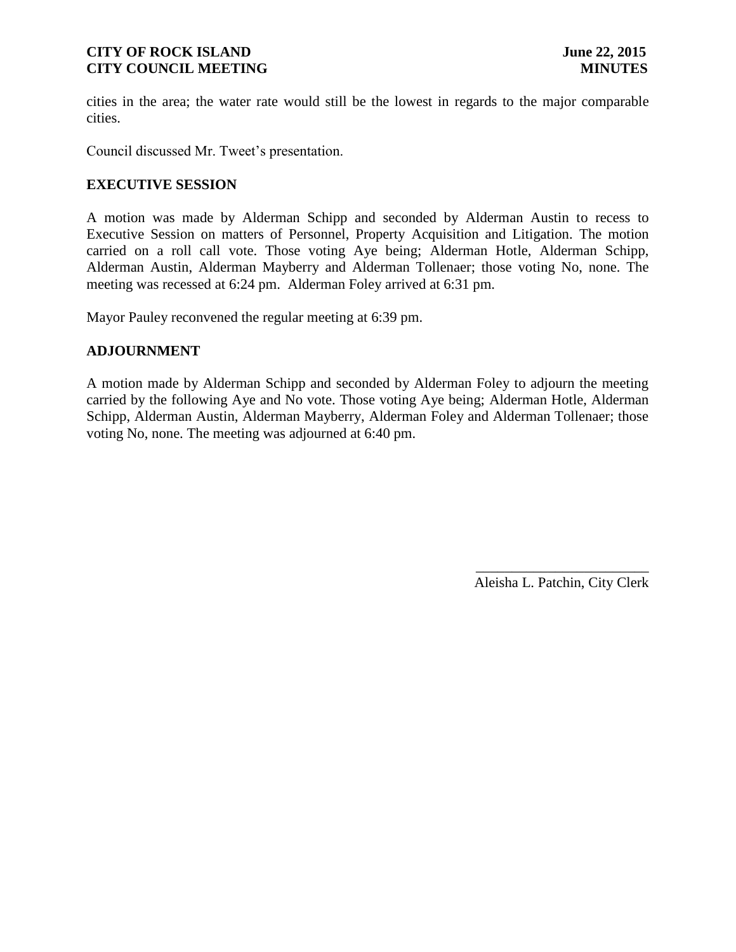cities in the area; the water rate would still be the lowest in regards to the major comparable cities.

Council discussed Mr. Tweet's presentation.

## **EXECUTIVE SESSION**

A motion was made by Alderman Schipp and seconded by Alderman Austin to recess to Executive Session on matters of Personnel, Property Acquisition and Litigation. The motion carried on a roll call vote. Those voting Aye being; Alderman Hotle, Alderman Schipp, Alderman Austin, Alderman Mayberry and Alderman Tollenaer; those voting No, none. The meeting was recessed at 6:24 pm. Alderman Foley arrived at 6:31 pm.

Mayor Pauley reconvened the regular meeting at 6:39 pm.

# **ADJOURNMENT**

A motion made by Alderman Schipp and seconded by Alderman Foley to adjourn the meeting carried by the following Aye and No vote. Those voting Aye being; Alderman Hotle, Alderman Schipp, Alderman Austin, Alderman Mayberry, Alderman Foley and Alderman Tollenaer; those voting No, none. The meeting was adjourned at 6:40 pm.

> \_\_\_\_\_\_\_\_\_\_\_\_\_\_\_\_\_\_\_\_\_\_\_\_ Aleisha L. Patchin, City Clerk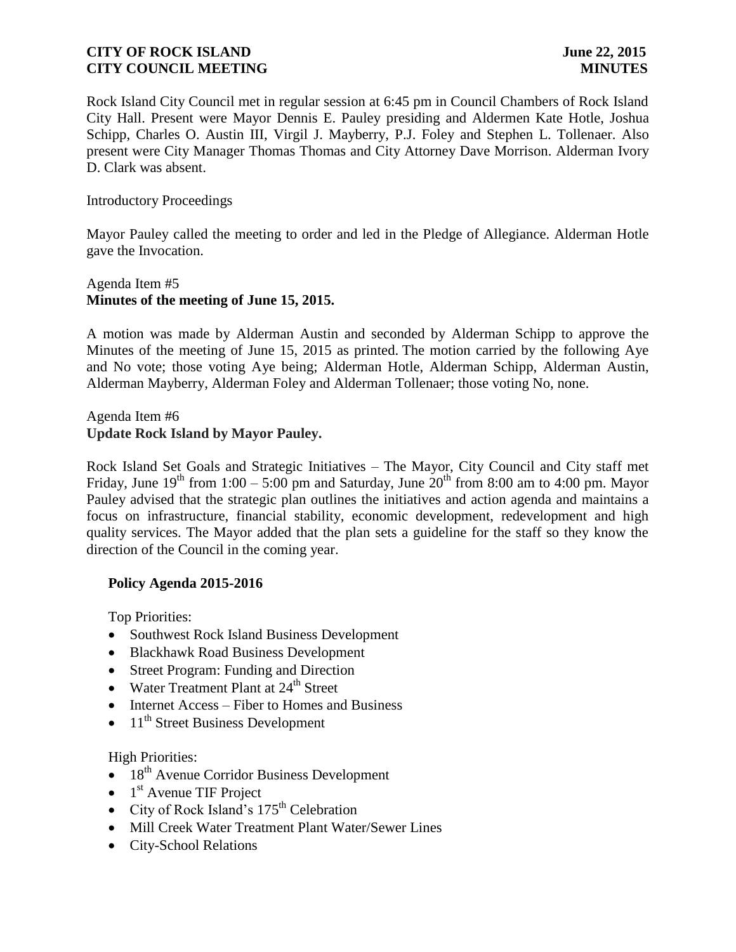Rock Island City Council met in regular session at 6:45 pm in Council Chambers of Rock Island City Hall. Present were Mayor Dennis E. Pauley presiding and Aldermen Kate Hotle, Joshua Schipp, Charles O. Austin III, Virgil J. Mayberry, P.J. Foley and Stephen L. Tollenaer. Also present were City Manager Thomas Thomas and City Attorney Dave Morrison. Alderman Ivory D. Clark was absent.

Introductory Proceedings

Mayor Pauley called the meeting to order and led in the Pledge of Allegiance. Alderman Hotle gave the Invocation.

# Agenda Item #5 **Minutes of the meeting of June 15, 2015.**

A motion was made by Alderman Austin and seconded by Alderman Schipp to approve the Minutes of the meeting of June 15, 2015 as printed. The motion carried by the following Aye and No vote; those voting Aye being; Alderman Hotle, Alderman Schipp, Alderman Austin, Alderman Mayberry, Alderman Foley and Alderman Tollenaer; those voting No, none.

Agenda Item #6 **Update Rock Island by Mayor Pauley.**

Rock Island Set Goals and Strategic Initiatives – The Mayor, City Council and City staff met Friday, June  $19<sup>th</sup>$  from 1:00 – 5:00 pm and Saturday, June  $20<sup>th</sup>$  from 8:00 am to 4:00 pm. Mayor Pauley advised that the strategic plan outlines the initiatives and action agenda and maintains a focus on infrastructure, financial stability, economic development, redevelopment and high quality services. The Mayor added that the plan sets a guideline for the staff so they know the direction of the Council in the coming year.

# **Policy Agenda 2015-2016**

Top Priorities:

- Southwest Rock Island Business Development
- Blackhawk Road Business Development
- Street Program: Funding and Direction
- $\bullet$  Water Treatment Plant at 24<sup>th</sup> Street
- Internet Access Fiber to Homes and Business
- $\bullet$  11<sup>th</sup> Street Business Development

High Priorities:

- $\bullet$  18<sup>th</sup> Avenue Corridor Business Development
- $\bullet$  1<sup>st</sup> Avenue TIF Project
- City of Rock Island's  $175^{\text{th}}$  Celebration
- Mill Creek Water Treatment Plant Water/Sewer Lines
- City-School Relations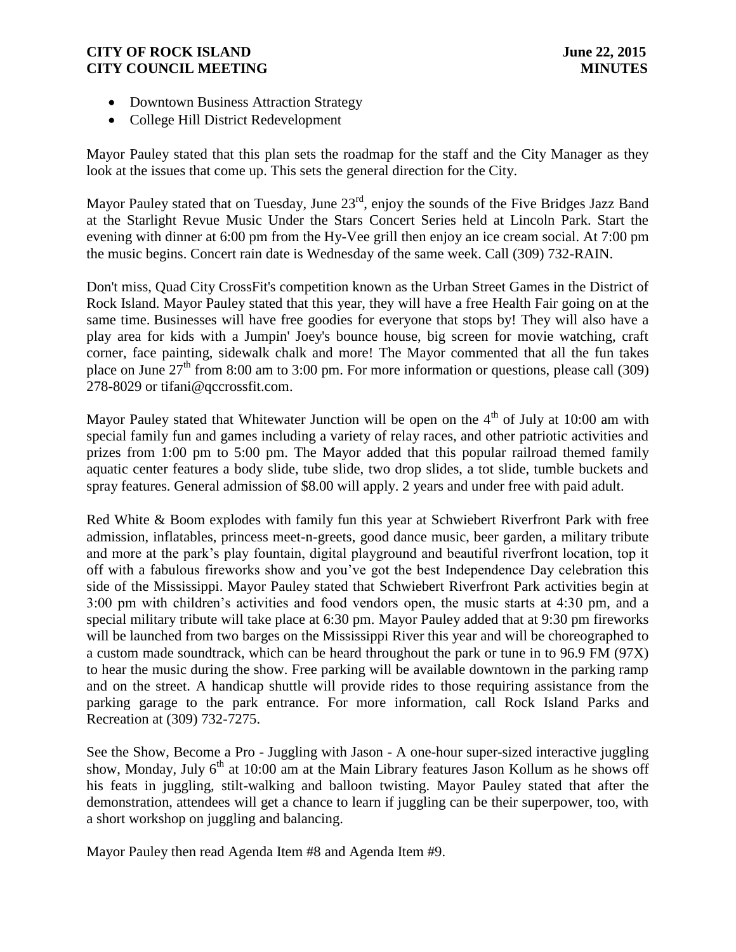- Downtown Business Attraction Strategy
- College Hill District Redevelopment

Mayor Pauley stated that this plan sets the roadmap for the staff and the City Manager as they look at the issues that come up. This sets the general direction for the City.

Mayor Pauley stated that on Tuesday, June 23<sup>rd</sup>, enjoy the sounds of the Five Bridges Jazz Band at the Starlight Revue Music Under the Stars Concert Series held at Lincoln Park. Start the evening with dinner at 6:00 pm from the Hy-Vee grill then enjoy an ice cream social. At 7:00 pm the music begins. Concert rain date is Wednesday of the same week. Call (309) 732-RAIN.

Don't miss, Quad City CrossFit's competition known as the Urban Street Games in the District of Rock Island. Mayor Pauley stated that this year, they will have a free Health Fair going on at the same time. Businesses will have free goodies for everyone that stops by! They will also have a play area for kids with a Jumpin' Joey's bounce house, big screen for movie watching, craft corner, face painting, sidewalk chalk and more! The Mayor commented that all the fun takes place on June  $27<sup>th</sup>$  from 8:00 am to 3:00 pm. For more information or questions, please call (309) 278-8029 or [tifani@qccrossfit.com.](mailto:tifani@qccrossfit.com)

Mayor Pauley stated that Whitewater Junction will be open on the  $4<sup>th</sup>$  of July at 10:00 am with special family fun and games including a variety of relay races, and other patriotic activities and prizes from 1:00 pm to 5:00 pm. The Mayor added that this popular railroad themed family aquatic center features a body slide, tube slide, two drop slides, a tot slide, tumble buckets and spray features. General admission of \$8.00 will apply. 2 years and under free with paid adult.

 Red White & Boom explodes with family fun this year at Schwiebert Riverfront Park with free admission, inflatables, princess meet-n-greets, good dance music, beer garden, a military tribute and more at the park's play fountain, digital playground and beautiful riverfront location, top it off with a fabulous fireworks show and you've got the best Independence Day celebration this side of the Mississippi. Mayor Pauley stated that Schwiebert Riverfront Park activities begin at 3:00 pm with children's activities and food vendors open, the music starts at 4:30 pm, and a special military tribute will take place at 6:30 pm. Mayor Pauley added that at 9:30 pm fireworks will be launched from two barges on the Mississippi River this year and will be choreographed to a custom made soundtrack, which can be heard throughout the park or tune in to 96.9 FM (97X) to hear the music during the show. Free parking will be available downtown in the parking ramp and on the street. A handicap shuttle will provide rides to those requiring assistance from the parking garage to the park entrance. For more information, call Rock Island Parks and Recreation at (309) 732-7275.

 See the Show, Become a Pro - Juggling with Jason - A one-hour super-sized interactive juggling show, Monday, July  $6<sup>th</sup>$  at 10:00 am at the Main Library features Jason Kollum as he shows off his feats in juggling, stilt-walking and balloon twisting. Mayor Pauley stated that after the demonstration, attendees will get a chance to learn if juggling can be their superpower, too, with a short workshop on juggling and balancing.

Mayor Pauley then read Agenda Item #8 and Agenda Item #9.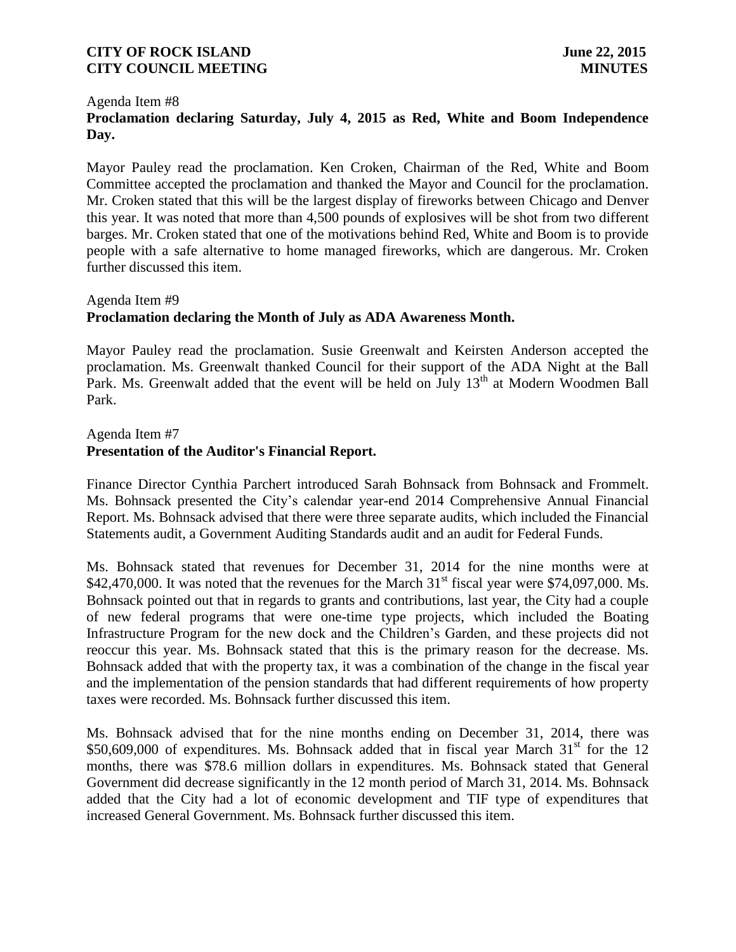#### Agenda Item #8

# **Proclamation declaring Saturday, July 4, 2015 as Red, White and Boom Independence Day.**

Mayor Pauley read the proclamation. Ken Croken, Chairman of the Red, White and Boom Committee accepted the proclamation and thanked the Mayor and Council for the proclamation. Mr. Croken stated that this will be the largest display of fireworks between Chicago and Denver this year. It was noted that more than 4,500 pounds of explosives will be shot from two different barges. Mr. Croken stated that one of the motivations behind Red, White and Boom is to provide people with a safe alternative to home managed fireworks, which are dangerous. Mr. Croken further discussed this item.

# Agenda Item #9 **Proclamation declaring the Month of July as ADA Awareness Month.**

Mayor Pauley read the proclamation. Susie Greenwalt and Keirsten Anderson accepted the proclamation. Ms. Greenwalt thanked Council for their support of the ADA Night at the Ball Park. Ms. Greenwalt added that the event will be held on July 13<sup>th</sup> at Modern Woodmen Ball Park.

# Agenda Item #7 **Presentation of the Auditor's Financial Report.**

Finance Director Cynthia Parchert introduced Sarah Bohnsack from Bohnsack and Frommelt. Ms. Bohnsack presented the City's calendar year-end 2014 Comprehensive Annual Financial Report. Ms. Bohnsack advised that there were three separate audits, which included the Financial Statements audit, a Government Auditing Standards audit and an audit for Federal Funds.

Ms. Bohnsack stated that revenues for December 31, 2014 for the nine months were at \$42,470,000. It was noted that the revenues for the March  $31<sup>st</sup>$  fiscal year were \$74,097,000. Ms. Bohnsack pointed out that in regards to grants and contributions, last year, the City had a couple of new federal programs that were one-time type projects, which included the Boating Infrastructure Program for the new dock and the Children's Garden, and these projects did not reoccur this year. Ms. Bohnsack stated that this is the primary reason for the decrease. Ms. Bohnsack added that with the property tax, it was a combination of the change in the fiscal year and the implementation of the pension standards that had different requirements of how property taxes were recorded. Ms. Bohnsack further discussed this item.

Ms. Bohnsack advised that for the nine months ending on December 31, 2014, there was  $$50,609,000$  of expenditures. Ms. Bohnsack added that in fiscal year March  $31<sup>st</sup>$  for the 12 months, there was \$78.6 million dollars in expenditures. Ms. Bohnsack stated that General Government did decrease significantly in the 12 month period of March 31, 2014. Ms. Bohnsack added that the City had a lot of economic development and TIF type of expenditures that increased General Government. Ms. Bohnsack further discussed this item.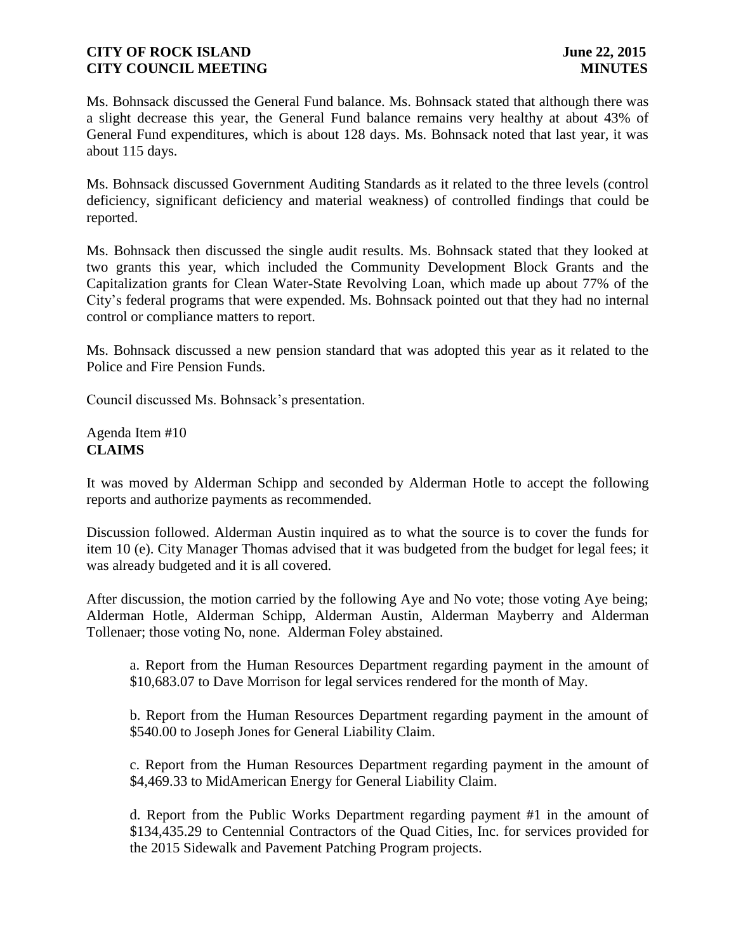Ms. Bohnsack discussed the General Fund balance. Ms. Bohnsack stated that although there was a slight decrease this year, the General Fund balance remains very healthy at about 43% of General Fund expenditures, which is about 128 days. Ms. Bohnsack noted that last year, it was about 115 days.

Ms. Bohnsack discussed Government Auditing Standards as it related to the three levels (control deficiency, significant deficiency and material weakness) of controlled findings that could be reported.

Ms. Bohnsack then discussed the single audit results. Ms. Bohnsack stated that they looked at two grants this year, which included the Community Development Block Grants and the Capitalization grants for Clean Water-State Revolving Loan, which made up about 77% of the City's federal programs that were expended. Ms. Bohnsack pointed out that they had no internal control or compliance matters to report.

Ms. Bohnsack discussed a new pension standard that was adopted this year as it related to the Police and Fire Pension Funds.

Council discussed Ms. Bohnsack's presentation.

Agenda Item #10 **CLAIMS**

It was moved by Alderman Schipp and seconded by Alderman Hotle to accept the following reports and authorize payments as recommended.

Discussion followed. Alderman Austin inquired as to what the source is to cover the funds for item 10 (e). City Manager Thomas advised that it was budgeted from the budget for legal fees; it was already budgeted and it is all covered.

After discussion, the motion carried by the following Aye and No vote; those voting Aye being; Alderman Hotle, Alderman Schipp, Alderman Austin, Alderman Mayberry and Alderman Tollenaer; those voting No, none. Alderman Foley abstained.

a. Report from the Human Resources Department regarding payment in the amount of \$10,683.07 to Dave Morrison for legal services rendered for the month of May.

b. Report from the Human Resources Department regarding payment in the amount of \$540.00 to Joseph Jones for General Liability Claim.

c. Report from the Human Resources Department regarding payment in the amount of \$4,469.33 to MidAmerican Energy for General Liability Claim.

d. Report from the Public Works Department regarding payment #1 in the amount of \$134,435.29 to Centennial Contractors of the Quad Cities, Inc. for services provided for the 2015 Sidewalk and Pavement Patching Program projects.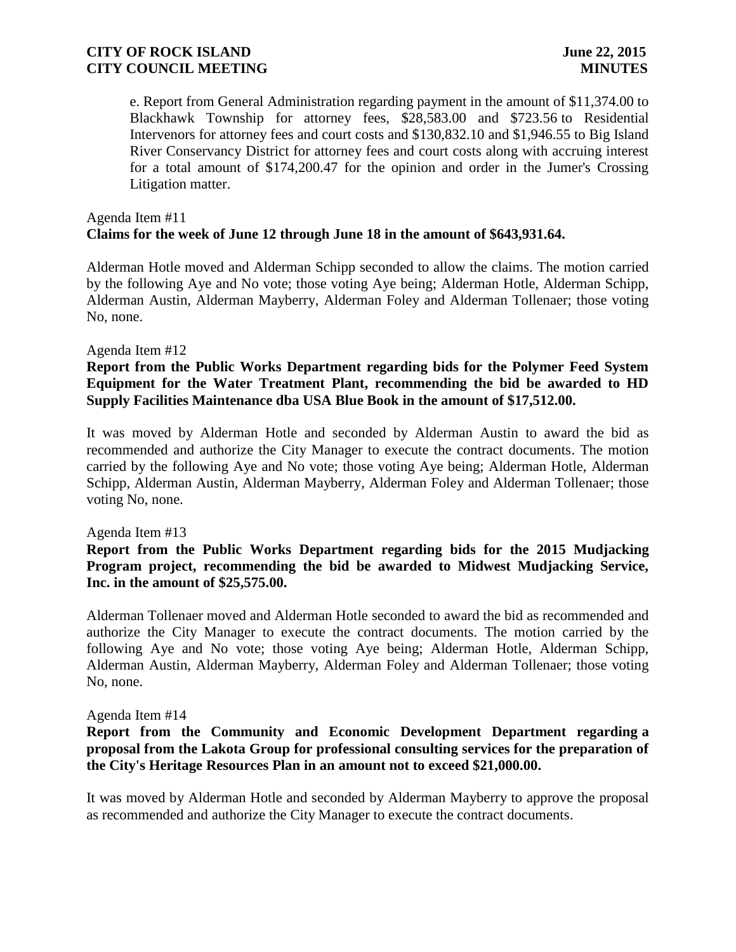e. Report from General Administration regarding payment in the amount of \$11,374.00 to Blackhawk Township for attorney fees, \$28,583.00 and \$723.56 to Residential Intervenors for attorney fees and court costs and \$130,832.10 and \$1,946.55 to Big Island River Conservancy District for attorney fees and court costs along with accruing interest for a total amount of \$174,200.47 for the opinion and order in the Jumer's Crossing Litigation matter.

# Agenda Item #11 **Claims for the week of June 12 through June 18 in the amount of \$643,931.64.**

Alderman Hotle moved and Alderman Schipp seconded to allow the claims. The motion carried by the following Aye and No vote; those voting Aye being; Alderman Hotle, Alderman Schipp, Alderman Austin, Alderman Mayberry, Alderman Foley and Alderman Tollenaer; those voting No, none.

#### Agenda Item #12

### **Report from the Public Works Department regarding bids for the Polymer Feed System Equipment for the Water Treatment Plant, recommending the bid be awarded to HD Supply Facilities Maintenance dba USA Blue Book in the amount of \$17,512.00.**

It was moved by Alderman Hotle and seconded by Alderman Austin to award the bid as recommended and authorize the City Manager to execute the contract documents. The motion carried by the following Aye and No vote; those voting Aye being; Alderman Hotle, Alderman Schipp, Alderman Austin, Alderman Mayberry, Alderman Foley and Alderman Tollenaer; those voting No, none.

#### Agenda Item #13

## **Report from the Public Works Department regarding bids for the 2015 Mudjacking Program project, recommending the bid be awarded to Midwest Mudjacking Service, Inc. in the amount of \$25,575.00.**

Alderman Tollenaer moved and Alderman Hotle seconded to award the bid as recommended and authorize the City Manager to execute the contract documents. The motion carried by the following Aye and No vote; those voting Aye being; Alderman Hotle, Alderman Schipp, Alderman Austin, Alderman Mayberry, Alderman Foley and Alderman Tollenaer; those voting No, none.

#### Agenda Item #14

## **Report from the Community and Economic Development Department regarding a proposal from the Lakota Group for professional consulting services for the preparation of the City's Heritage Resources Plan in an amount not to exceed \$21,000.00.**

It was moved by Alderman Hotle and seconded by Alderman Mayberry to approve the proposal as recommended and authorize the City Manager to execute the contract documents.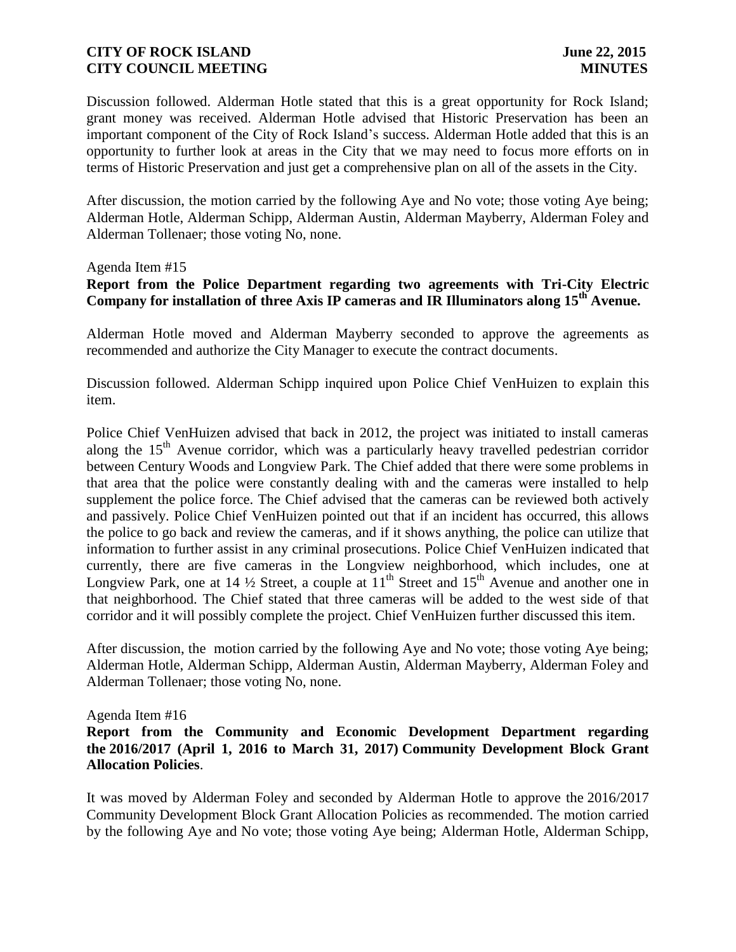Discussion followed. Alderman Hotle stated that this is a great opportunity for Rock Island; grant money was received. Alderman Hotle advised that Historic Preservation has been an important component of the City of Rock Island's success. Alderman Hotle added that this is an opportunity to further look at areas in the City that we may need to focus more efforts on in terms of Historic Preservation and just get a comprehensive plan on all of the assets in the City.

After discussion, the motion carried by the following Aye and No vote; those voting Aye being; Alderman Hotle, Alderman Schipp, Alderman Austin, Alderman Mayberry, Alderman Foley and Alderman Tollenaer; those voting No, none.

#### Agenda Item #15

# **Report from the Police Department regarding two agreements with Tri-City Electric Company for installation of three Axis IP cameras and IR Illuminators along 15th Avenue.**

Alderman Hotle moved and Alderman Mayberry seconded to approve the agreements as recommended and authorize the City Manager to execute the contract documents.

Discussion followed. Alderman Schipp inquired upon Police Chief VenHuizen to explain this item.

Police Chief VenHuizen advised that back in 2012, the project was initiated to install cameras along the  $15<sup>th</sup>$  Avenue corridor, which was a particularly heavy travelled pedestrian corridor between Century Woods and Longview Park. The Chief added that there were some problems in that area that the police were constantly dealing with and the cameras were installed to help supplement the police force. The Chief advised that the cameras can be reviewed both actively and passively. Police Chief VenHuizen pointed out that if an incident has occurred, this allows the police to go back and review the cameras, and if it shows anything, the police can utilize that information to further assist in any criminal prosecutions. Police Chief VenHuizen indicated that currently, there are five cameras in the Longview neighborhood, which includes, one at Longview Park, one at 14  $\frac{1}{2}$  Street, a couple at  $11<sup>th</sup>$  Street and  $15<sup>th</sup>$  Avenue and another one in that neighborhood. The Chief stated that three cameras will be added to the west side of that corridor and it will possibly complete the project. Chief VenHuizen further discussed this item.

After discussion, the motion carried by the following Aye and No vote; those voting Aye being; Alderman Hotle, Alderman Schipp, Alderman Austin, Alderman Mayberry, Alderman Foley and Alderman Tollenaer; those voting No, none.

### Agenda Item #16

# **Report from the Community and Economic Development Department regarding the 2016/2017 (April 1, 2016 to March 31, 2017) Community Development Block Grant Allocation Policies**.

It was moved by Alderman Foley and seconded by Alderman Hotle to approve the 2016/2017 Community Development Block Grant Allocation Policies as recommended. The motion carried by the following Aye and No vote; those voting Aye being; Alderman Hotle, Alderman Schipp,